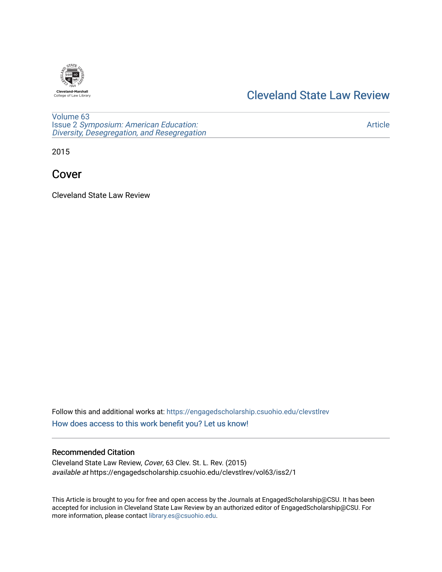

## [Cleveland State Law Review](https://engagedscholarship.csuohio.edu/clevstlrev)

[Volume 63](https://engagedscholarship.csuohio.edu/clevstlrev/vol63) Issue 2 [Symposium: American Education:](https://engagedscholarship.csuohio.edu/clevstlrev/vol63/iss2) [Diversity, Desegregation, and Resegregation](https://engagedscholarship.csuohio.edu/clevstlrev/vol63/iss2)

[Article](https://engagedscholarship.csuohio.edu/clevstlrev/vol63/iss2/1) 

2015

## Cover

Cleveland State Law Review

Follow this and additional works at: [https://engagedscholarship.csuohio.edu/clevstlrev](https://engagedscholarship.csuohio.edu/clevstlrev?utm_source=engagedscholarship.csuohio.edu%2Fclevstlrev%2Fvol63%2Fiss2%2F1&utm_medium=PDF&utm_campaign=PDFCoverPages) [How does access to this work benefit you? Let us know!](http://library.csuohio.edu/engaged/)

## Recommended Citation

Cleveland State Law Review, Cover, 63 Clev. St. L. Rev. (2015) available at https://engagedscholarship.csuohio.edu/clevstlrev/vol63/iss2/1

This Article is brought to you for free and open access by the Journals at EngagedScholarship@CSU. It has been accepted for inclusion in Cleveland State Law Review by an authorized editor of EngagedScholarship@CSU. For more information, please contact [library.es@csuohio.edu](mailto:library.es@csuohio.edu).